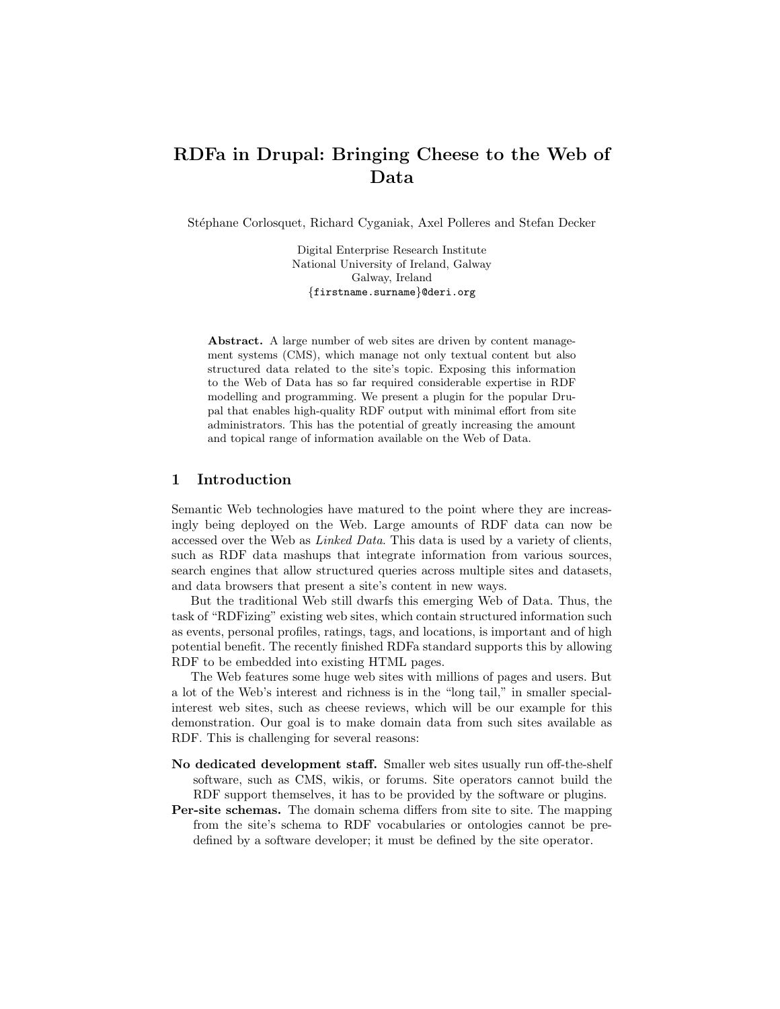# RDFa in Drupal: Bringing Cheese to the Web of Data

Stéphane Corlosquet, Richard Cyganiak, Axel Polleres and Stefan Decker

Digital Enterprise Research Institute National University of Ireland, Galway Galway, Ireland {firstname.surname}@deri.org

Abstract. A large number of web sites are driven by content management systems (CMS), which manage not only textual content but also structured data related to the site's topic. Exposing this information to the Web of Data has so far required considerable expertise in RDF modelling and programming. We present a plugin for the popular Drupal that enables high-quality RDF output with minimal effort from site administrators. This has the potential of greatly increasing the amount and topical range of information available on the Web of Data.

## 1 Introduction

Semantic Web technologies have matured to the point where they are increasingly being deployed on the Web. Large amounts of RDF data can now be accessed over the Web as Linked Data. This data is used by a variety of clients, such as RDF data mashups that integrate information from various sources, search engines that allow structured queries across multiple sites and datasets, and data browsers that present a site's content in new ways.

But the traditional Web still dwarfs this emerging Web of Data. Thus, the task of "RDFizing" existing web sites, which contain structured information such as events, personal profiles, ratings, tags, and locations, is important and of high potential benefit. The recently finished RDFa standard supports this by allowing RDF to be embedded into existing HTML pages.

The Web features some huge web sites with millions of pages and users. But a lot of the Web's interest and richness is in the "long tail," in smaller specialinterest web sites, such as cheese reviews, which will be our example for this demonstration. Our goal is to make domain data from such sites available as RDF. This is challenging for several reasons:

- No dedicated development staff. Smaller web sites usually run off-the-shelf software, such as CMS, wikis, or forums. Site operators cannot build the RDF support themselves, it has to be provided by the software or plugins.
- Per-site schemas. The domain schema differs from site to site. The mapping from the site's schema to RDF vocabularies or ontologies cannot be predefined by a software developer; it must be defined by the site operator.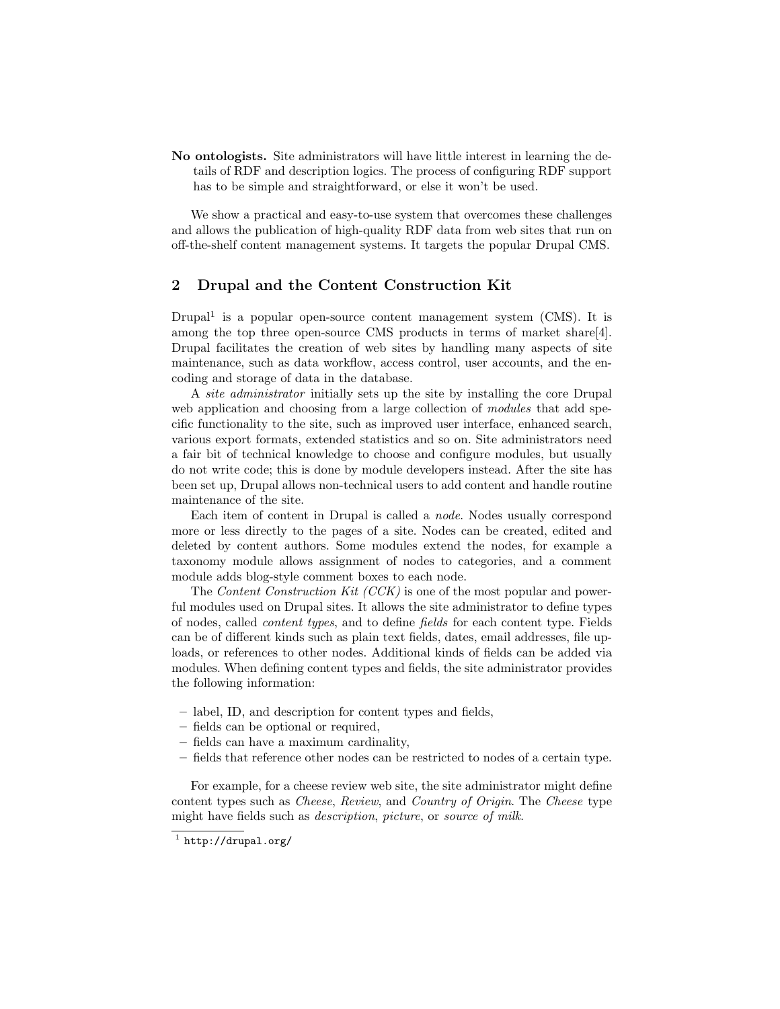No ontologists. Site administrators will have little interest in learning the details of RDF and description logics. The process of configuring RDF support has to be simple and straightforward, or else it won't be used.

We show a practical and easy-to-use system that overcomes these challenges and allows the publication of high-quality RDF data from web sites that run on off-the-shelf content management systems. It targets the popular Drupal CMS.

# 2 Drupal and the Content Construction Kit

Drupal<sup>1</sup> is a popular open-source content management system (CMS). It is among the top three open-source CMS products in terms of market share[4]. Drupal facilitates the creation of web sites by handling many aspects of site maintenance, such as data workflow, access control, user accounts, and the encoding and storage of data in the database.

A site administrator initially sets up the site by installing the core Drupal web application and choosing from a large collection of *modules* that add specific functionality to the site, such as improved user interface, enhanced search, various export formats, extended statistics and so on. Site administrators need a fair bit of technical knowledge to choose and configure modules, but usually do not write code; this is done by module developers instead. After the site has been set up, Drupal allows non-technical users to add content and handle routine maintenance of the site.

Each item of content in Drupal is called a node. Nodes usually correspond more or less directly to the pages of a site. Nodes can be created, edited and deleted by content authors. Some modules extend the nodes, for example a taxonomy module allows assignment of nodes to categories, and a comment module adds blog-style comment boxes to each node.

The *Content Construction Kit (CCK)* is one of the most popular and powerful modules used on Drupal sites. It allows the site administrator to define types of nodes, called content types, and to define fields for each content type. Fields can be of different kinds such as plain text fields, dates, email addresses, file uploads, or references to other nodes. Additional kinds of fields can be added via modules. When defining content types and fields, the site administrator provides the following information:

- label, ID, and description for content types and fields,
- fields can be optional or required,
- fields can have a maximum cardinality,
- fields that reference other nodes can be restricted to nodes of a certain type.

For example, for a cheese review web site, the site administrator might define content types such as Cheese, Review, and Country of Origin. The Cheese type might have fields such as *description*, *picture*, or *source* of milk.

 $^{\rm 1}$  http://drupal.org/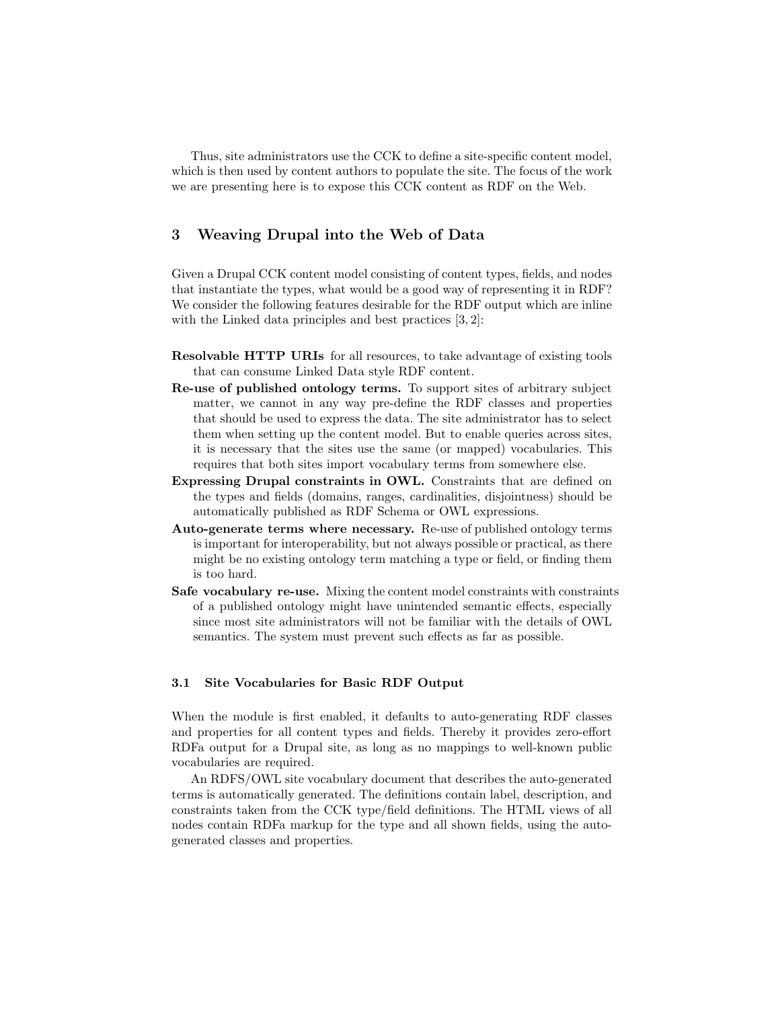Thus, site administrators use the CCK to define a site-specific content model, which is then used by content authors to populate the site. The focus of the work we are presenting here is to expose this CCK content as RDF on the Web.

# 3 Weaving Drupal into the Web of Data

Given a Drupal CCK content model consisting of content types, fields, and nodes that instantiate the types, what would be a good way of representing it in RDF? We consider the following features desirable for the RDF output which are inline with the Linked data principles and best practices  $[3, 2]$ :

- Resolvable HTTP URIs for all resources, to take advantage of existing tools that can consume Linked Data style RDF content.
- Re-use of published ontology terms. To support sites of arbitrary subject matter, we cannot in any way pre-define the RDF classes and properties that should be used to express the data. The site administrator has to select them when setting up the content model. But to enable queries across sites, it is necessary that the sites use the same (or mapped) vocabularies. This requires that both sites import vocabulary terms from somewhere else.
- Expressing Drupal constraints in OWL. Constraints that are defined on the types and fields (domains, ranges, cardinalities, disjointness) should be automatically published as RDF Schema or OWL expressions.
- Auto-generate terms where necessary. Re-use of published ontology terms is important for interoperability, but not always possible or practical, as there might be no existing ontology term matching a type or field, or finding them is too hard.
- Safe vocabulary re-use. Mixing the content model constraints with constraints of a published ontology might have unintended semantic effects, especially since most site administrators will not be familiar with the details of OWL semantics. The system must prevent such effects as far as possible.

#### 3.1 Site Vocabularies for Basic RDF Output

When the module is first enabled, it defaults to auto-generating RDF classes and properties for all content types and fields. Thereby it provides zero-effort RDFa output for a Drupal site, as long as no mappings to well-known public vocabularies are required.

An RDFS/OWL site vocabulary document that describes the auto-generated terms is automatically generated. The definitions contain label, description, and constraints taken from the CCK type/field definitions. The HTML views of all nodes contain RDFa markup for the type and all shown fields, using the autogenerated classes and properties.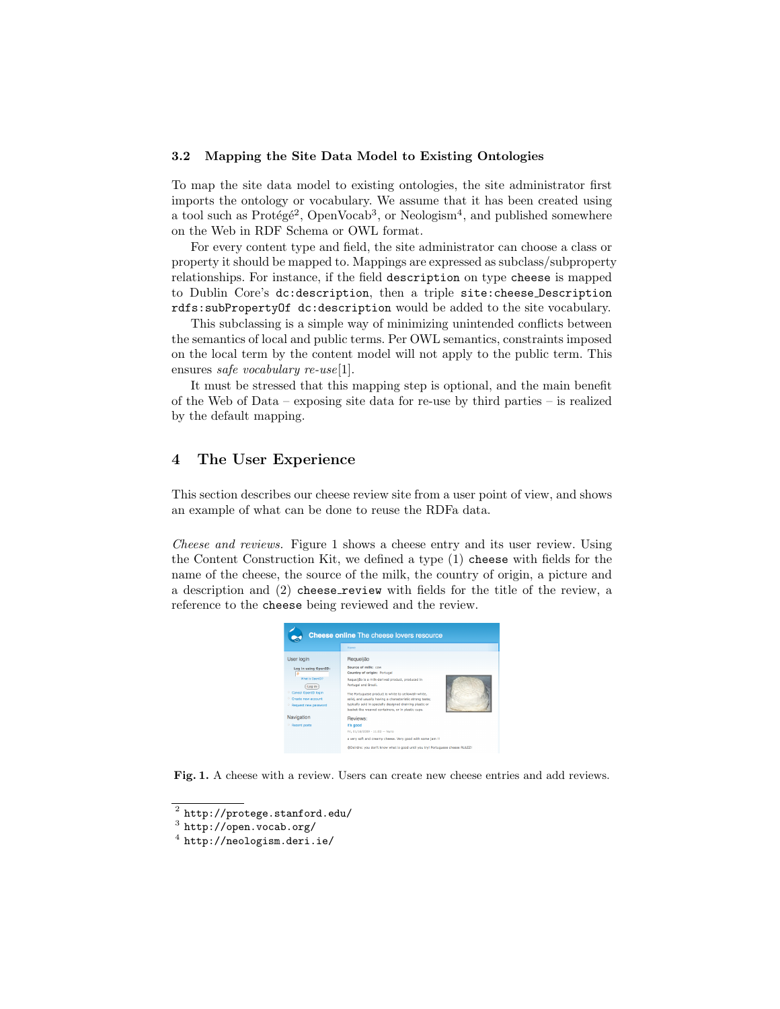#### 3.2 Mapping the Site Data Model to Existing Ontologies

To map the site data model to existing ontologies, the site administrator first imports the ontology or vocabulary. We assume that it has been created using a tool such as  $Prot\acute{e}g\acute{e}^2$ ,  $OpenVocab^3$ , or Neologism<sup>4</sup>, and published somewhere on the Web in RDF Schema or OWL format.

For every content type and field, the site administrator can choose a class or property it should be mapped to. Mappings are expressed as subclass/subproperty relationships. For instance, if the field description on type cheese is mapped to Dublin Core's dc:description, then a triple site:cheese Description rdfs:subPropertyOf dc:description would be added to the site vocabulary.

This subclassing is a simple way of minimizing unintended conflicts between the semantics of local and public terms. Per OWL semantics, constraints imposed on the local term by the content model will not apply to the public term. This ensures *safe* vocabulary re-use[1].

It must be stressed that this mapping step is optional, and the main benefit of the Web of Data – exposing site data for re-use by third parties – is realized by the default mapping.

## 4 The User Experience

This section describes our cheese review site from a user point of view, and shows an example of what can be done to reuse the RDFa data.

Cheese and reviews. Figure 1 shows a cheese entry and its user review. Using the Content Construction Kit, we defined a type (1) cheese with fields for the name of the cheese, the source of the milk, the country of origin, a picture and a description and  $(2)$  cheese review with fields for the title of the review, a reference to the cheese being reviewed and the review.



Fig. 1. A cheese with a review. Users can create new cheese entries and add reviews.

 $^2$  http://protege.stanford.edu/

 $^3$  http://open.vocab.org/

 $^4$  http://neologism.deri.ie/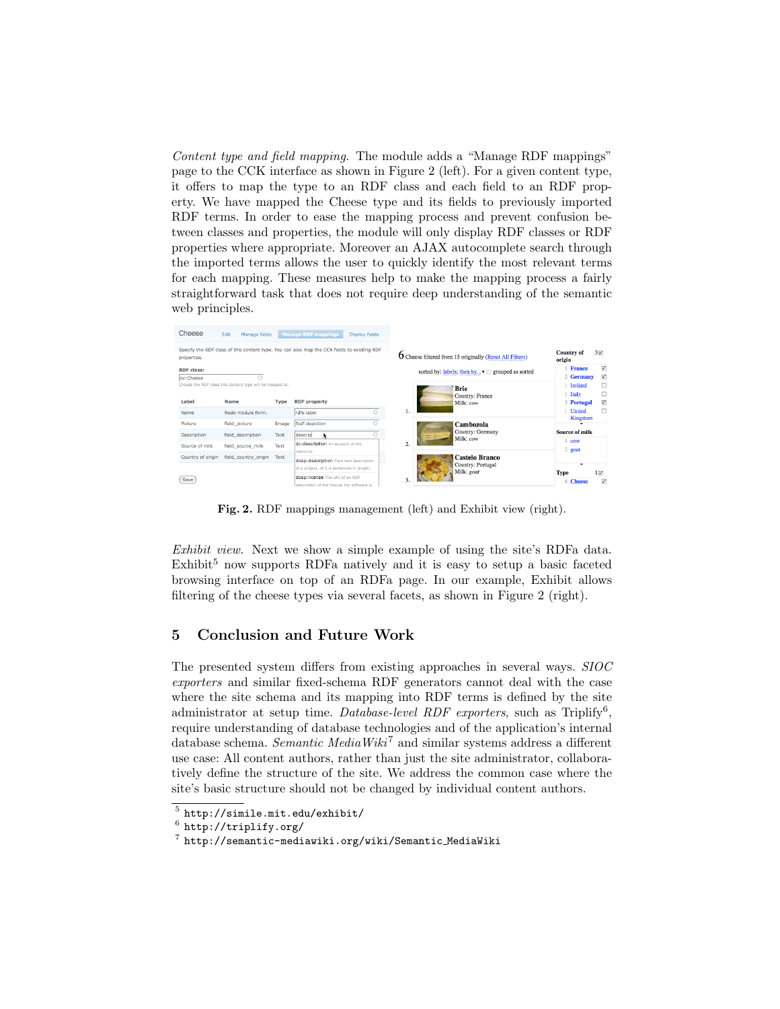Content type and field mapping. The module adds a "Manage RDF mappings" page to the CCK interface as shown in Figure 2 (left). For a given content type, it offers to map the type to an RDF class and each field to an RDF property. We have mapped the Cheese type and its fields to previously imported RDF terms. In order to ease the mapping process and prevent confusion between classes and properties, the module will only display RDF classes or RDF properties where appropriate. Moreover an AJAX autocomplete search through the imported terms allows the user to quickly identify the most relevant terms for each mapping. These measures help to make the mapping process a fairly straightforward task that does not require deep understanding of the semantic web principles.

| Cheese                                                                                                     | Edit<br>Manage fields                                                    |             | <b>Manage RDF mappings</b><br><b>Display fields</b>                          |                                                          |                                                                 |                                                              |  |  |
|------------------------------------------------------------------------------------------------------------|--------------------------------------------------------------------------|-------------|------------------------------------------------------------------------------|----------------------------------------------------------|-----------------------------------------------------------------|--------------------------------------------------------------|--|--|
| Specify the RDF class of this content type. You can also map the CCK fields to existing RDF<br>properties. |                                                                          |             |                                                                              |                                                          | <b>O</b> Cheese filtered from 15 originally (Reset All Filters) | <b>Country of</b><br>$3\overline{v}$<br>origin               |  |  |
| <b>RDF</b> class:<br>ov:Cheese                                                                             |                                                                          |             |                                                                              | sorted by: labels; then by $\bullet$ o grouped as sorted |                                                                 | ⊽<br><b>France</b><br>☑<br>2 Germany                         |  |  |
| Label                                                                                                      | Choose the RDF class this content type will be mapped to.<br><b>Name</b> | <b>Type</b> | <b>RDF</b> property                                                          |                                                          | <b>Brie</b><br><b>Country: France</b><br>Milk: cow              | □<br>Ireland<br>□<br>Italy<br>⊽<br>3 Portugal<br>п<br>United |  |  |
| Name<br>Picture                                                                                            | Node module form.<br>field picture                                       | Image       | rdfs:label<br>foaf:depiction                                                 |                                                          | Cambozola                                                       | Kingdom                                                      |  |  |
| Description                                                                                                | field description                                                        | Text        | descrip                                                                      |                                                          | <b>Country: Germany</b><br>$\overline{m}$<br>Milk: cow<br>2.    | <b>Source of milk</b>                                        |  |  |
| Source of milk                                                                                             | field source milk                                                        | Text        | dc:description An account of the<br>resource.                                |                                                          |                                                                 | 4 cow<br>2 goat                                              |  |  |
| Country of origin                                                                                          | field country origin                                                     | Text        | doap:description Plain text description                                      |                                                          | Castelo Branco<br>Country: Portugal<br>Milk: goat<br>3.         |                                                              |  |  |
|                                                                                                            |                                                                          |             | of a project, of 2-4 sentences in length.                                    |                                                          |                                                                 | ۰<br><b>Type</b><br>$1\triangledown$                         |  |  |
| Save                                                                                                       |                                                                          |             | doap:license The URI of an RDF<br>description of the license the software is |                                                          |                                                                 | ⊽<br><b>Cheese</b><br>6                                      |  |  |

Fig. 2. RDF mappings management (left) and Exhibit view (right).

Exhibit view. Next we show a simple example of using the site's RDFa data.  $Exhibit<sup>5</sup>$  now supports RDFa natively and it is easy to setup a basic faceted browsing interface on top of an RDFa page. In our example, Exhibit allows filtering of the cheese types via several facets, as shown in Figure 2 (right).

# 5 Conclusion and Future Work

The presented system differs from existing approaches in several ways. SIOC exporters and similar fixed-schema RDF generators cannot deal with the case where the site schema and its mapping into RDF terms is defined by the site administrator at setup time. Database-level RDF exporters, such as Triplify<sup>6</sup>, require understanding of database technologies and of the application's internal database schema. Semantic MediaWiki<sup>7</sup> and similar systems address a different use case: All content authors, rather than just the site administrator, collaboratively define the structure of the site. We address the common case where the site's basic structure should not be changed by individual content authors.

 $^5$  http://simile.mit.edu/exhibit/

 $^6$  http://triplify.org/

 $^7$  http://semantic-mediawiki.org/wiki/Semantic\_MediaWiki